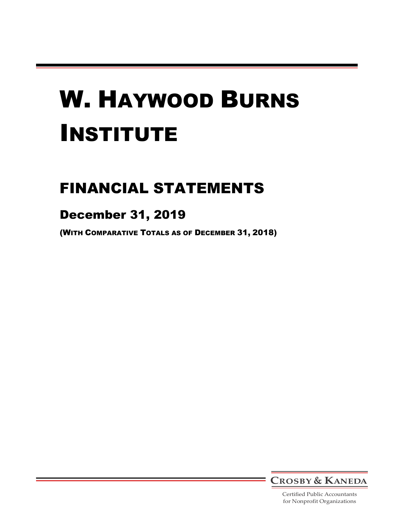# FINANCIAL STATEMENTS

# December 31, 2019

(WITH COMPARATIVE TOTALS AS OF DECEMBER 31, 2018)



Certified Public Accountants for Nonprofit Organizations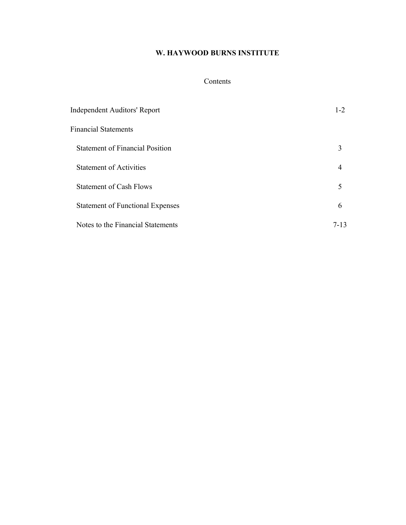# Contents

| Independent Auditors' Report            | $1 - 2$ |
|-----------------------------------------|---------|
| <b>Financial Statements</b>             |         |
| <b>Statement of Financial Position</b>  | 3       |
| <b>Statement of Activities</b>          | 4       |
| <b>Statement of Cash Flows</b>          | 5       |
| <b>Statement of Functional Expenses</b> | 6       |
| Notes to the Financial Statements       | 7-13    |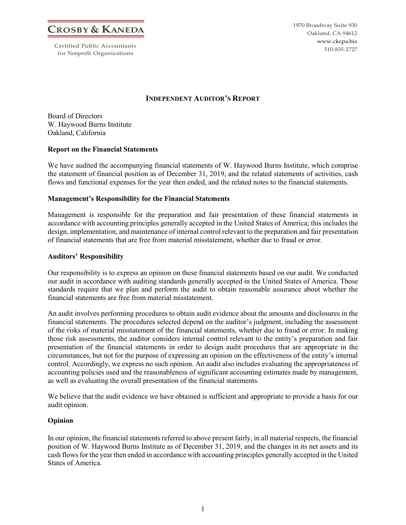**CROSBY & KANEDA**

Certified Public Accountants for Nonprofit Organizations

1970 Broadway Suite 930 Oakland, CA 94612 www.ckcpa.biz 510-835-2727

# **INDEPENDENT AUDITOR'S REPORT**

Board of Directors W. Haywood Burns Institute Oakland, California

#### **Report on the Financial Statements**

We have audited the accompanying financial statements of W. Haywood Burns Institute, which comprise the statement of financial position as of December 31, 2019, and the related statements of activities, cash flows and functional expenses for the year then ended, and the related notes to the financial statements.

#### **Management's Responsibility for the Financial Statements**

Management is responsible for the preparation and fair presentation of these financial statements in accordance with accounting principles generally accepted in the United States of America; this includes the design, implementation, and maintenance of internal control relevant to the preparation and fair presentation of financial statements that are free from material misstatement, whether due to fraud or error.

#### **Auditors' Responsibility**

Our responsibility is to express an opinion on these financial statements based on our audit. We conducted our audit in accordance with auditing standards generally accepted in the United States of America. Those standards require that we plan and perform the audit to obtain reasonable assurance about whether the financial statements are free from material misstatement.

An audit involves performing procedures to obtain audit evidence about the amounts and disclosures in the financial statements. The procedures selected depend on the auditor's judgment, including the assessment of the risks of material misstatement of the financial statements, whether due to fraud or error. In making those risk assessments, the auditor considers internal control relevant to the entity's preparation and fair presentation of the financial statements in order to design audit procedures that are appropriate in the circumstances, but not for the purpose of expressing an opinion on the effectiveness of the entity's internal control. Accordingly, we express no such opinion. An audit also includes evaluating the appropriateness of accounting policies used and the reasonableness of significant accounting estimates made by management, as well as evaluating the overall presentation of the financial statements.

We believe that the audit evidence we have obtained is sufficient and appropriate to provide a basis for our audit opinion.

#### **Opinion**

In our opinion, the financial statements referred to above present fairly, in all material respects, the financial position of W. Haywood Burns Institute as of December 31, 2019, and the changes in its net assets and its cash flows for the year then ended in accordance with accounting principles generally accepted in the United States of America.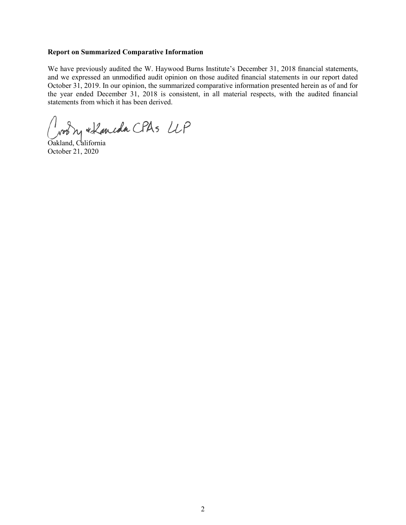#### **Report on Summarized Comparative Information**

We have previously audited the W. Haywood Burns Institute's December 31, 2018 financial statements, and we expressed an unmodified audit opinion on those audited financial statements in our report dated October 31, 2019. In our opinion, the summarized comparative information presented herein as of and for the year ended December 31, 2018 is consistent, in all material respects, with the audited financial statements from which it has been derived.

voory + Laneda CPAS LLP

Oakland, California October 21, 2020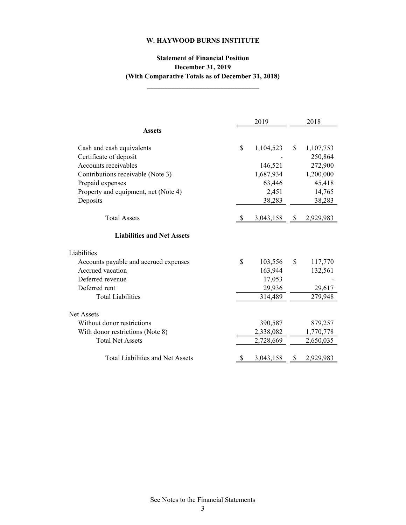# **Statement of Financial Position December 31, 2019 (With Comparative Totals as of December 31, 2018)**

**\_\_\_\_\_\_\_\_\_\_\_\_\_\_\_\_\_\_\_\_\_\_\_\_\_\_\_\_\_\_\_\_**

2019 2018 Cash and cash equivalents  $\qquad \qquad$  1,104,523  $\qquad$  1,107,753 Certificate of deposit **contained a contained a contained a contained a contained a contained a contained a contact 250,864** Accounts receivables 272,900 146,521 272,900 Contributions receivable (Note 3) 1,687,934 1,200,000 Prepaid expenses 63,446 45,418 Property and equipment, net (Note 4) 2,451 14,765 Deposits 38,283 38,283 Total Assets \$ 3,043,158 \$ 2,929,983 Liabilities Accounts payable and accrued expenses  $$ 103,556 $ 117,770$ Accrued vacation 163,944 132,561 Deferred revenue  $17,053$ Deferred rent 29,617 29,936 Total Liabilities 314,489 279,948 Net Assets Without donor restrictions 390,587 879,257 With donor restrictions (Note 8) 2,338,082 1,770,778 Total Net Assets 2,728,669 2,650,035 Total Liabilities and Net Assets \$ 3,043,158 \$ 2,929,983 **Assets Liabilities and Net Assets**

See Notes to the Financial Statements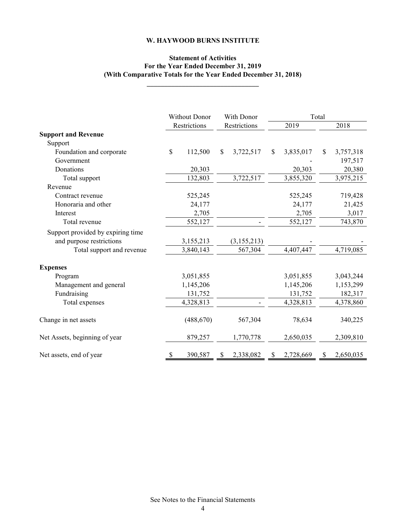# **Statement of Activities For the Year Ended December 31, 2019 (With Comparative Totals for the Year Ended December 31, 2018)**

**\_\_\_\_\_\_\_\_\_\_\_\_\_\_\_\_\_\_\_\_\_\_\_\_\_\_\_\_\_\_\_\_**

|                                   | <b>Without Donor</b> |               | With Donor    |              |           | Total |           |
|-----------------------------------|----------------------|---------------|---------------|--------------|-----------|-------|-----------|
|                                   | Restrictions         |               | Restrictions  |              | 2019      |       | 2018      |
| <b>Support and Revenue</b>        |                      |               |               |              |           |       |           |
| Support                           |                      |               |               |              |           |       |           |
| Foundation and corporate          | \$<br>112,500        | $\mathcal{S}$ | 3,722,517     | $\mathbb{S}$ | 3,835,017 | \$.   | 3,757,318 |
| Government                        |                      |               |               |              |           |       | 197,517   |
| Donations                         | 20,303               |               |               |              | 20,303    |       | 20,380    |
| Total support                     | 132,803              |               | 3,722,517     |              | 3,855,320 |       | 3,975,215 |
| Revenue                           |                      |               |               |              |           |       |           |
| Contract revenue                  | 525,245              |               |               |              | 525,245   |       | 719,428   |
| Honoraria and other               | 24,177               |               |               |              | 24,177    |       | 21,425    |
| Interest                          | 2,705                |               |               |              | 2,705     |       | 3,017     |
| Total revenue                     | 552,127              |               |               |              | 552,127   |       | 743,870   |
| Support provided by expiring time |                      |               |               |              |           |       |           |
| and purpose restrictions          | 3,155,213            |               | (3, 155, 213) |              |           |       |           |
| Total support and revenue         | 3,840,143            |               | 567,304       |              | 4,407,447 |       | 4,719,085 |
| <b>Expenses</b>                   |                      |               |               |              |           |       |           |
| Program                           | 3,051,855            |               |               |              | 3,051,855 |       | 3,043,244 |
| Management and general            | 1,145,206            |               |               |              | 1,145,206 |       | 1,153,299 |
| Fundraising                       | 131,752              |               |               |              | 131,752   |       | 182,317   |
| Total expenses                    | 4,328,813            |               |               |              | 4,328,813 |       | 4,378,860 |
| Change in net assets              | (488, 670)           |               | 567,304       |              | 78,634    |       | 340,225   |
| Net Assets, beginning of year     | 879,257              |               | 1,770,778     |              | 2,650,035 |       | 2,309,810 |
| Net assets, end of year           | 390,587              |               | 2,338,082     | Y.           | 2,728,669 |       | 2,650,035 |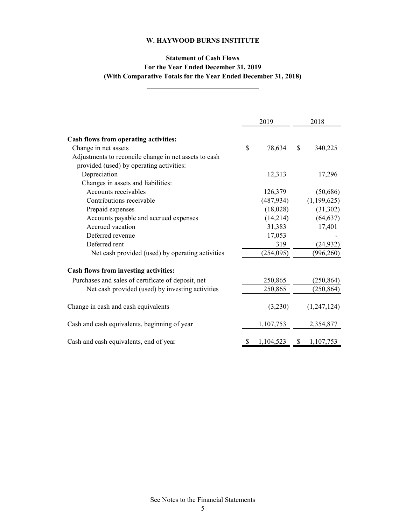# **Statement of Cash Flows For the Year Ended December 31, 2019 (With Comparative Totals for the Year Ended December 31, 2018)**

**\_\_\_\_\_\_\_\_\_\_\_\_\_\_\_\_\_\_\_\_\_\_\_\_\_\_\_\_\_\_\_\_**

|                                                       | 2019         | 2018          |
|-------------------------------------------------------|--------------|---------------|
| <b>Cash flows from operating activities:</b>          |              |               |
| Change in net assets                                  | \$<br>78,634 | \$<br>340,225 |
| Adjustments to reconcile change in net assets to cash |              |               |
| provided (used) by operating activities:              |              |               |
| Depreciation                                          | 12,313       | 17,296        |
| Changes in assets and liabilities:                    |              |               |
| Accounts receivables                                  | 126,379      | (50,686)      |
| Contributions receivable                              | (487, 934)   | (1,199,625)   |
| Prepaid expenses                                      | (18,028)     | (31, 302)     |
| Accounts payable and accrued expenses                 | (14,214)     | (64, 637)     |
| Accrued vacation                                      | 31,383       | 17,401        |
| Deferred revenue                                      | 17,053       |               |
| Deferred rent                                         | 319          | (24, 932)     |
| Net cash provided (used) by operating activities      | (254, 095)   | (996, 260)    |
| Cash flows from investing activities:                 |              |               |
| Purchases and sales of certificate of deposit, net    | 250,865      | (250, 864)    |
| Net cash provided (used) by investing activities      | 250,865      | (250, 864)    |
| Change in cash and cash equivalents                   | (3,230)      | (1,247,124)   |
| Cash and cash equivalents, beginning of year          | 1,107,753    | 2,354,877     |
| Cash and cash equivalents, end of year                | 1,104,523    | 1,107,753     |
|                                                       |              |               |

See Notes to the Financial Statements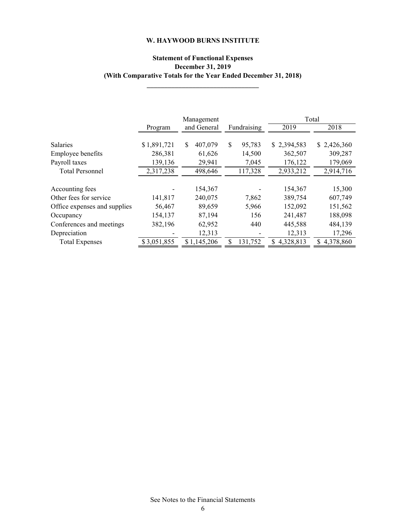# **Statement of Functional Expenses December 31, 2019 (With Comparative Totals for the Year Ended December 31, 2018)**

**\_\_\_\_\_\_\_\_\_\_\_\_\_\_\_\_\_\_\_\_\_\_\_\_\_\_\_\_\_\_\_\_**

|                              |             | Management   |               |                | Total       |
|------------------------------|-------------|--------------|---------------|----------------|-------------|
|                              | Program     | and General  | Fundraising   | 2019           | 2018        |
|                              |             |              |               |                |             |
| <b>Salaries</b>              | \$1,891,721 | S<br>407,079 | \$<br>95,783  | \$2,394,583    | \$2,426,360 |
| Employee benefits            | 286,381     | 61,626       | 14,500        | 362,507        | 309,287     |
| Payroll taxes                | 139,136     | 29,941       | 7,045         | 176,122        | 179,069     |
| <b>Total Personnel</b>       | 2,317,238   | 498,646      | 117,328       | 2,933,212      | 2,914,716   |
|                              |             |              |               |                |             |
| Accounting fees              |             | 154,367      |               | 154,367        | 15,300      |
| Other fees for service       | 141,817     | 240,075      | 7,862         | 389,754        | 607,749     |
| Office expenses and supplies | 56,467      | 89,659       | 5,966         | 152,092        | 151,562     |
| Occupancy                    | 154,137     | 87,194       | 156           | 241,487        | 188,098     |
| Conferences and meetings     | 382,196     | 62,952       | 440           | 445,588        | 484,139     |
| Depreciation                 |             | 12,313       |               | 12,313         | 17,296      |
| <b>Total Expenses</b>        | \$3,051,855 | \$1,145,206  | \$<br>131,752 | 4,328,813<br>S | 4,378,860   |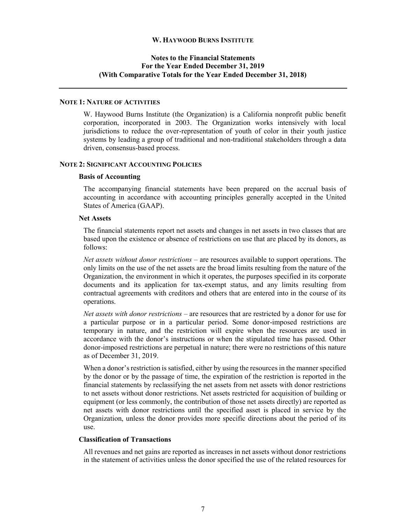# **Notes to the Financial Statements For the Year Ended December 31, 2019 (With Comparative Totals for the Year Ended December 31, 2018)**

#### **NOTE 1: NATURE OF ACTIVITIES**

W. Haywood Burns Institute (the Organization) is a California nonprofit public benefit corporation, incorporated in 2003. The Organization works intensively with local jurisdictions to reduce the over-representation of youth of color in their youth justice systems by leading a group of traditional and non-traditional stakeholders through a data driven, consensus-based process.

#### **NOTE 2: SIGNIFICANT ACCOUNTING POLICIES**

#### **Basis of Accounting**

The accompanying financial statements have been prepared on the accrual basis of accounting in accordance with accounting principles generally accepted in the United States of America (GAAP).

#### **Net Assets**

The financial statements report net assets and changes in net assets in two classes that are based upon the existence or absence of restrictions on use that are placed by its donors, as follows:

*Net assets without donor restrictions* – are resources available to support operations. The only limits on the use of the net assets are the broad limits resulting from the nature of the Organization, the environment in which it operates, the purposes specified in its corporate documents and its application for tax-exempt status, and any limits resulting from contractual agreements with creditors and others that are entered into in the course of its operations.

*Net assets with donor restrictions* – are resources that are restricted by a donor for use for a particular purpose or in a particular period. Some donor-imposed restrictions are temporary in nature, and the restriction will expire when the resources are used in accordance with the donor's instructions or when the stipulated time has passed. Other donor-imposed restrictions are perpetual in nature; there were no restrictions of this nature as of December 31, 2019.

When a donor's restriction is satisfied, either by using the resources in the manner specified by the donor or by the passage of time, the expiration of the restriction is reported in the financial statements by reclassifying the net assets from net assets with donor restrictions to net assets without donor restrictions. Net assets restricted for acquisition of building or equipment (or less commonly, the contribution of those net assets directly) are reported as net assets with donor restrictions until the specified asset is placed in service by the Organization, unless the donor provides more specific directions about the period of its use.

#### **Classification of Transactions**

All revenues and net gains are reported as increases in net assets without donor restrictions in the statement of activities unless the donor specified the use of the related resources for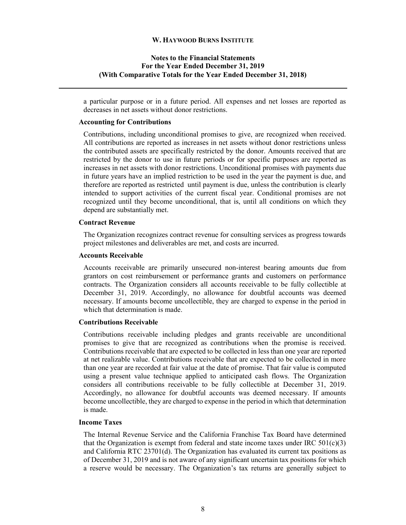# **Notes to the Financial Statements For the Year Ended December 31, 2019 (With Comparative Totals for the Year Ended December 31, 2018)**

a particular purpose or in a future period. All expenses and net losses are reported as decreases in net assets without donor restrictions.

#### **Accounting for Contributions**

Contributions, including unconditional promises to give, are recognized when received. All contributions are reported as increases in net assets without donor restrictions unless the contributed assets are specifically restricted by the donor. Amounts received that are restricted by the donor to use in future periods or for specific purposes are reported as increases in net assets with donor restrictions. Unconditional promises with payments due in future years have an implied restriction to be used in the year the payment is due, and therefore are reported as restricted until payment is due, unless the contribution is clearly intended to support activities of the current fiscal year. Conditional promises are not recognized until they become unconditional, that is, until all conditions on which they depend are substantially met.

#### **Contract Revenue**

The Organization recognizes contract revenue for consulting services as progress towards project milestones and deliverables are met, and costs are incurred.

#### **Accounts Receivable**

Accounts receivable are primarily unsecured non-interest bearing amounts due from grantors on cost reimbursement or performance grants and customers on performance contracts. The Organization considers all accounts receivable to be fully collectible at December 31, 2019. Accordingly, no allowance for doubtful accounts was deemed necessary. If amounts become uncollectible, they are charged to expense in the period in which that determination is made.

#### **Contributions Receivable**

Contributions receivable including pledges and grants receivable are unconditional promises to give that are recognized as contributions when the promise is received. Contributions receivable that are expected to be collected in less than one year are reported at net realizable value. Contributions receivable that are expected to be collected in more than one year are recorded at fair value at the date of promise. That fair value is computed using a present value technique applied to anticipated cash flows. The Organization considers all contributions receivable to be fully collectible at December 31, 2019. Accordingly, no allowance for doubtful accounts was deemed necessary. If amounts become uncollectible, they are charged to expense in the period in which that determination is made.

#### **Income Taxes**

The Internal Revenue Service and the California Franchise Tax Board have determined that the Organization is exempt from federal and state income taxes under IRC  $501(c)(3)$ and California RTC 23701(d). The Organization has evaluated its current tax positions as of December 31, 2019 and is not aware of any significant uncertain tax positions for which a reserve would be necessary. The Organization's tax returns are generally subject to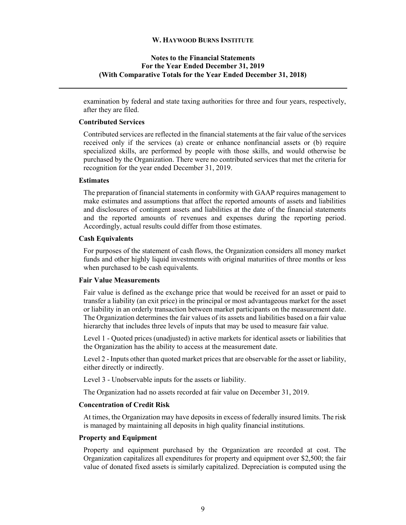# **Notes to the Financial Statements For the Year Ended December 31, 2019 (With Comparative Totals for the Year Ended December 31, 2018)**

examination by federal and state taxing authorities for three and four years, respectively, after they are filed.

#### **Contributed Services**

Contributed services are reflected in the financial statements at the fair value of the services received only if the services (a) create or enhance nonfinancial assets or (b) require specialized skills, are performed by people with those skills, and would otherwise be purchased by the Organization. There were no contributed services that met the criteria for recognition for the year ended December 31, 2019.

#### **Estimates**

The preparation of financial statements in conformity with GAAP requires management to make estimates and assumptions that affect the reported amounts of assets and liabilities and disclosures of contingent assets and liabilities at the date of the financial statements and the reported amounts of revenues and expenses during the reporting period. Accordingly, actual results could differ from those estimates.

#### **Cash Equivalents**

For purposes of the statement of cash flows, the Organization considers all money market funds and other highly liquid investments with original maturities of three months or less when purchased to be cash equivalents.

#### **Fair Value Measurements**

Fair value is defined as the exchange price that would be received for an asset or paid to transfer a liability (an exit price) in the principal or most advantageous market for the asset or liability in an orderly transaction between market participants on the measurement date. The Organization determines the fair values of its assets and liabilities based on a fair value hierarchy that includes three levels of inputs that may be used to measure fair value.

Level 1 - Quoted prices (unadjusted) in active markets for identical assets or liabilities that the Organization has the ability to access at the measurement date.

Level 2 - Inputs other than quoted market prices that are observable for the asset or liability, either directly or indirectly.

Level 3 - Unobservable inputs for the assets or liability.

The Organization had no assets recorded at fair value on December 31, 2019.

#### **Concentration of Credit Risk**

At times, the Organization may have deposits in excess of federally insured limits. The risk is managed by maintaining all deposits in high quality financial institutions.

#### **Property and Equipment**

Property and equipment purchased by the Organization are recorded at cost. The Organization capitalizes all expenditures for property and equipment over \$2,500; the fair value of donated fixed assets is similarly capitalized. Depreciation is computed using the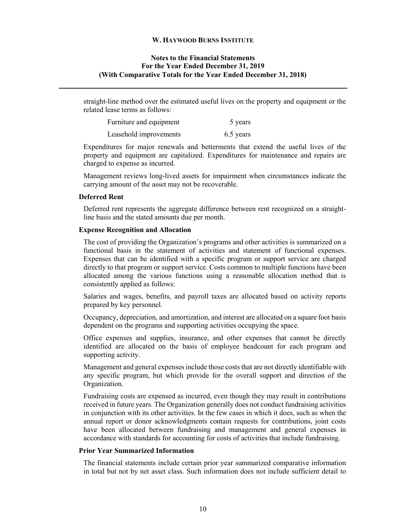# **Notes to the Financial Statements For the Year Ended December 31, 2019 (With Comparative Totals for the Year Ended December 31, 2018)**

straight-line method over the estimated useful lives on the property and equipment or the related lease terms as follows:

| Furniture and equipment | 5 years   |
|-------------------------|-----------|
| Leasehold improvements  | 6.5 years |

Expenditures for major renewals and betterments that extend the useful lives of the property and equipment are capitalized. Expenditures for maintenance and repairs are charged to expense as incurred.

Management reviews long-lived assets for impairment when circumstances indicate the carrying amount of the asset may not be recoverable.

#### **Deferred Rent**

Deferred rent represents the aggregate difference between rent recognized on a straightline basis and the stated amounts due per month.

# **Expense Recognition and Allocation**

The cost of providing the Organization's programs and other activities is summarized on a functional basis in the statement of activities and statement of functional expenses. Expenses that can be identified with a specific program or support service are charged directly to that program or support service. Costs common to multiple functions have been allocated among the various functions using a reasonable allocation method that is consistently applied as follows:

Salaries and wages, benefits, and payroll taxes are allocated based on activity reports prepared by key personnel.

Occupancy, depreciation, and amortization, and interest are allocated on a square foot basis dependent on the programs and supporting activities occupying the space.

Office expenses and supplies, insurance, and other expenses that cannot be directly identified are allocated on the basis of employee headcount for each program and supporting activity.

Management and general expenses include those costs that are not directly identifiable with any specific program, but which provide for the overall support and direction of the Organization.

Fundraising costs are expensed as incurred, even though they may result in contributions received in future years. The Organization generally does not conduct fundraising activities in conjunction with its other activities. In the few cases in which it does, such as when the annual report or donor acknowledgments contain requests for contributions, joint costs have been allocated between fundraising and management and general expenses in accordance with standards for accounting for costs of activities that include fundraising.

#### **Prior Year Summarized Information**

The financial statements include certain prior year summarized comparative information in total but not by net asset class. Such information does not include sufficient detail to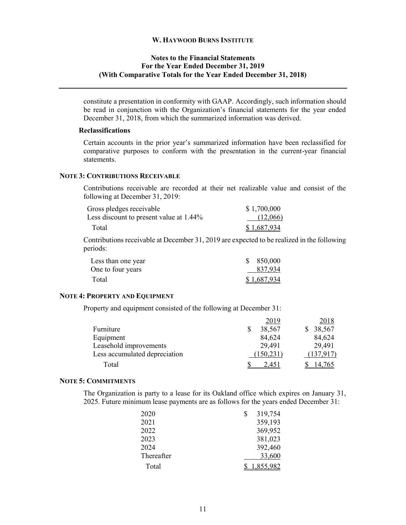# **Notes to the Financial Statements For the Year Ended December 31, 2019 (With Comparative Totals for the Year Ended December 31, 2018)**

constitute a presentation in conformity with GAAP. Accordingly, such information should be read in conjunction with the Organization's financial statements for the year ended December 31, 2018, from which the summarized information was derived.

#### **Reclassifications**

Certain accounts in the prior year's summarized information have been reclassified for comparative purposes to conform with the presentation in the current-year financial statements.

#### **NOTE 3: CONTRIBUTIONS RECEIVABLE**

Contributions receivable are recorded at their net realizable value and consist of the following at December 31, 2019:

| Gross pledges receivable                | \$1,700,000 |
|-----------------------------------------|-------------|
| Less discount to present value at 1.44% | (12,066)    |
| Total                                   | \$1,687,934 |

Contributions receivable at December 31, 2019 are expected to be realized in the following periods:

| Less than one year | \$850,000   |
|--------------------|-------------|
| One to four years  | 837,934     |
| Total              | \$1,687,934 |

#### **NOTE 4: PROPERTY AND EQUIPMENT**

Property and equipment consisted of the following at December 31:

|                               | 2019       | 2018      |
|-------------------------------|------------|-----------|
| Furniture                     | 38,567     | 38,567    |
| Equipment                     | 84,624     | 84,624    |
| Leasehold improvements        | 29,491     | 29,491    |
| Less accumulated depreciation | (150, 231) | (137,917) |
| Total                         | 2.451      | 14.765    |

#### **NOTE 5: COMMITMENTS**

The Organization is party to a lease for its Oakland office which expires on January 31, 2025. Future minimum lease payments are as follows for the years ended December 31:

| 2020       | 319,754   |
|------------|-----------|
| 2021       | 359,193   |
| 2022       | 369,952   |
| 2023       | 381,023   |
| 2024       | 392,460   |
| Thereafter | 33,600    |
| Total      | 1.855.982 |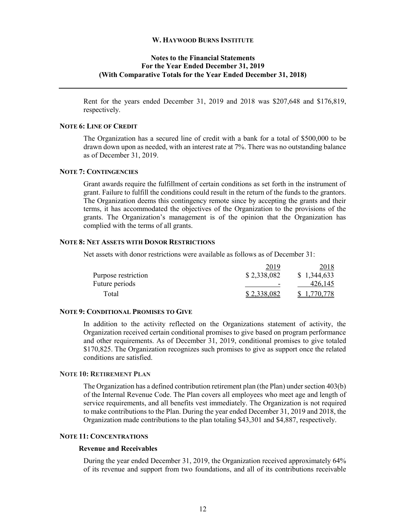## **Notes to the Financial Statements For the Year Ended December 31, 2019 (With Comparative Totals for the Year Ended December 31, 2018)**

Rent for the years ended December 31, 2019 and 2018 was \$207,648 and \$176,819, respectively.

#### **NOTE 6: LINE OF CREDIT**

The Organization has a secured line of credit with a bank for a total of \$500,000 to be drawn down upon as needed, with an interest rate at 7%. There was no outstanding balance as of December 31, 2019.

#### **NOTE 7: CONTINGENCIES**

Grant awards require the fulfillment of certain conditions as set forth in the instrument of grant. Failure to fulfill the conditions could result in the return of the funds to the grantors. The Organization deems this contingency remote since by accepting the grants and their terms, it has accommodated the objectives of the Organization to the provisions of the grants. The Organization's management is of the opinion that the Organization has complied with the terms of all grants.

#### **NOTE 8: NET ASSETS WITH DONOR RESTRICTIONS**

Net assets with donor restrictions were available as follows as of December 31:

|                     | 2019        | 2018        |
|---------------------|-------------|-------------|
| Purpose restriction | \$2,338,082 | \$1,344,633 |
| Future periods      |             | 426,145     |
| Total               | \$2,338,082 | \$1,770,778 |

#### **NOTE 9: CONDITIONAL PROMISES TO GIVE**

In addition to the activity reflected on the Organizations statement of activity, the Organization received certain conditional promises to give based on program performance and other requirements. As of December 31, 2019, conditional promises to give totaled \$170,825. The Organization recognizes such promises to give as support once the related conditions are satisfied.

#### **NOTE 10: RETIREMENT PLAN**

The Organization has a defined contribution retirement plan (the Plan) under section 403(b) of the Internal Revenue Code. The Plan covers all employees who meet age and length of service requirements, and all benefits vest immediately. The Organization is not required to make contributions to the Plan. During the year ended December 31, 2019 and 2018, the Organization made contributions to the plan totaling \$43,301 and \$4,887, respectively.

#### **NOTE 11: CONCENTRATIONS**

#### **Revenue and Receivables**

During the year ended December 31, 2019, the Organization received approximately 64% of its revenue and support from two foundations, and all of its contributions receivable